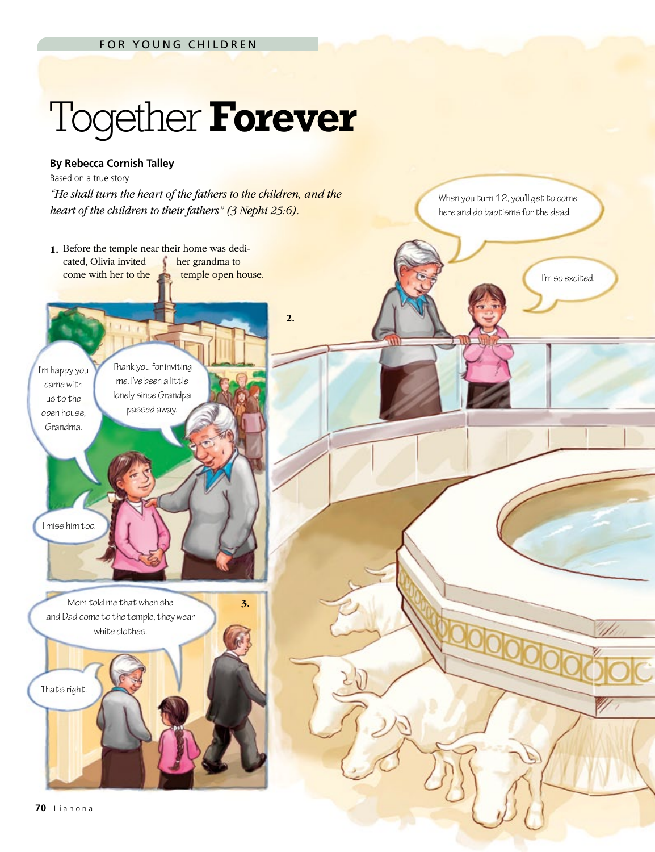## Together **Forever**

## **By Rebecca Cornish Talley**

Based on a true story *"He shall turn the heart of the fathers to the children, and the heart of the children to their fathers" (3 Nephi 25:6).*



When you turn 12, you'll get to come here and do baptisms for the dead.

**70** Liahona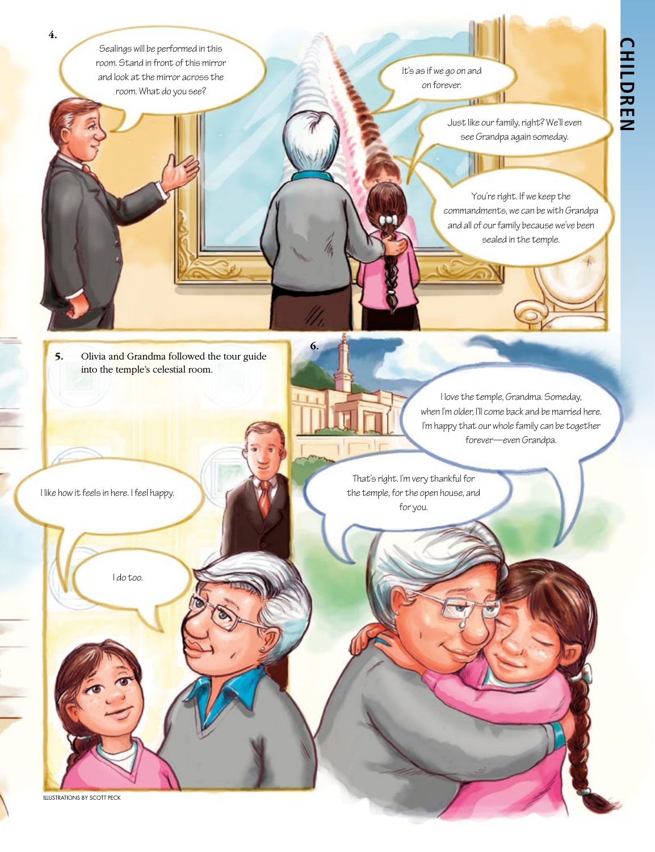Sealings will be performed in this room. Stand in front of this mirror and look at the mirror across the room. What do you see?

**4.** 

It's as if we go on and on forever.

**u**tla

Just like our family, right? We'll even see Grandpa again someday.

You're right. If we keep the commandments, we can be with Grandpa and all of our family because we've been sealed in the temple.

**5.** Olivia and Grandma followed the tour guide into the temple's celestial room.

> I love the temple, Grandma. Someday, when I'm older, I'll come back and be married here. I'm happy that our whole family can be together forever—even Grandpa.

I like how it feels in here. I feel happy.

I do too.

That's right. I'm very thankful for the temple, for the open house, and for you.

**6.** 

ILLUSTRATIONS BY SCOTT PECK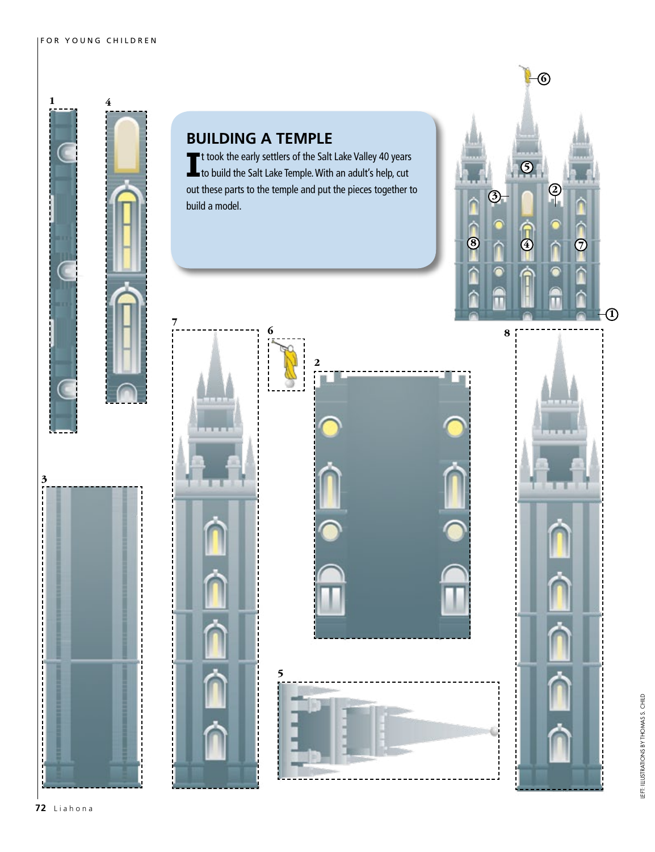

**7**

## **BUILDING A TEMPLE**

If took the early settlers of the Salt Lake Valley 40 years<br>to build the Salt Lake Temple. With an adult's help, cut **L** to build the Salt Lake Temple. With an adult's help, cut out these parts to the temple and put the pieces together to build a model.







**2**

n

**8**

 $\bar{\mathbf{r}}$ 

 $\bar{\hat{\mathbf{u}}}$ 

î

**3**

**6**

**5**